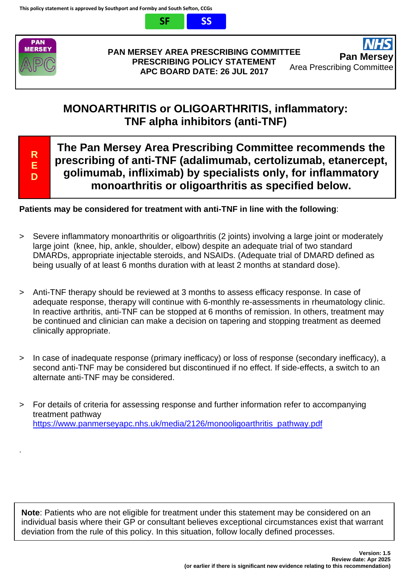



#### **PAN MERSEY AREA PRESCRIBING COMMITTEE PRESCRIBING POLICY STATEMENT APC BOARD DATE: 26 JUL 2017**

## **MONOARTHRITIS or OLIGOARTHRITIS, inflammatory: TNF alpha inhibitors (anti-TNF)**

**R E D**

.

**The Pan Mersey Area Prescribing Committee recommends the prescribing of anti-TNF (adalimumab, certolizumab, etanercept, golimumab, infliximab) by specialists only, for inflammatory monoarthritis or oligoarthritis as specified below.**

## **Patients may be considered for treatment with anti-TNF in line with the following**:

- > Severe inflammatory monoarthritis or oligoarthritis (2 joints) involving a large joint or moderately large joint (knee, hip, ankle, shoulder, elbow) despite an adequate trial of two standard DMARDs, appropriate injectable steroids, and NSAIDs. (Adequate trial of DMARD defined as being usually of at least 6 months duration with at least 2 months at standard dose).
- > Anti-TNF therapy should be reviewed at 3 months to assess efficacy response. In case of adequate response, therapy will continue with 6-monthly re-assessments in rheumatology clinic. In reactive arthritis, anti-TNF can be stopped at 6 months of remission. In others, treatment may be continued and clinician can make a decision on tapering and stopping treatment as deemed clinically appropriate.
- > In case of inadequate response (primary inefficacy) or loss of response (secondary inefficacy), a second anti-TNF may be considered but discontinued if no effect. If side-effects, a switch to an alternate anti-TNF may be considered.
- > For details of criteria for assessing response and further information refer to accompanying treatment pathway [https://www.panmerseyapc.nhs.uk/media/2126/monooligoarthritis\\_pathway.pdf](https://www.panmerseyapc.nhs.uk/media/2126/monooligoarthritis_pathway.pdf)

**Note**: Patients who are not eligible for treatment under this statement may be considered on an individual basis where their GP or consultant believes exceptional circumstances exist that warrant deviation from the rule of this policy. In this situation, follow locally defined processes.